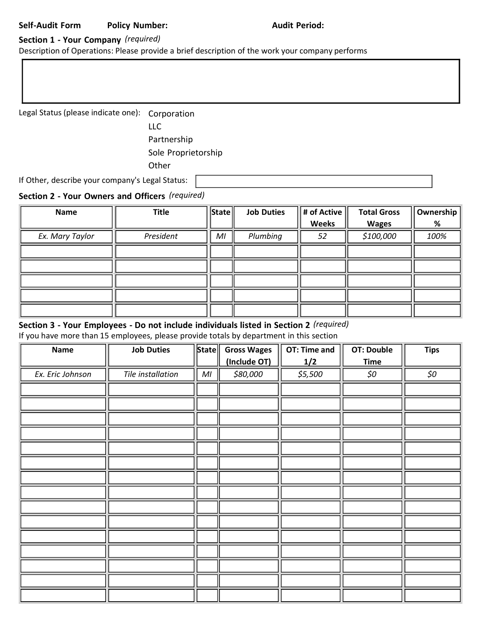# Section 1 - Your Company (required)

Description of Operations: Please provide a brief description of the work your company performs

Legal Status (please indicate one): Corporation

LLC Partnership Sole Proprietorship **Other** 

If Other, describe your company's Legal Status:

## Section 2 - Your Owners and Officers (required)

| Name            | <b>Title</b> | State          | <b>Job Duties</b> | # of Active  | <b>Total Gross</b> | Ownership |
|-----------------|--------------|----------------|-------------------|--------------|--------------------|-----------|
|                 |              |                |                   | <b>Weeks</b> | <b>Wages</b>       | %         |
| Ex. Mary Taylor | President    | M <sub>l</sub> | Plumbing          | 52           | \$100,000          | 100%      |
|                 |              |                |                   |              |                    |           |
|                 |              |                |                   |              |                    |           |
|                 |              |                |                   |              |                    |           |
|                 |              |                |                   |              |                    |           |
|                 |              |                |                   |              |                    |           |

# Section 3 - Your Employees - Do not include individuals listed in Section 2 (required)

If you have more than 15 employees, please provide totals by department in this section

| Name             | <b>Job Duties</b> | State          | <b>Gross Wages</b> | OT: Time and | <b>OT: Double</b> | <b>Tips</b> |
|------------------|-------------------|----------------|--------------------|--------------|-------------------|-------------|
|                  |                   |                | (Include OT)       | 1/2          | <b>Time</b>       |             |
| Ex. Eric Johnson | Tile installation | M <sub>l</sub> | \$80,000           | \$5,500      | \$0               | \$0         |
|                  |                   |                |                    |              |                   |             |
|                  |                   |                |                    |              |                   |             |
|                  |                   |                |                    |              |                   |             |
|                  |                   |                |                    |              |                   |             |
|                  |                   |                |                    |              |                   |             |
|                  |                   |                |                    |              |                   |             |
|                  |                   |                |                    |              |                   |             |
|                  |                   |                |                    |              |                   |             |
|                  |                   |                |                    |              |                   |             |
|                  |                   |                |                    |              |                   |             |
|                  |                   |                |                    |              |                   |             |
|                  |                   |                |                    |              |                   |             |
|                  |                   |                |                    |              |                   |             |
|                  |                   |                |                    |              |                   |             |
|                  |                   |                |                    |              |                   |             |